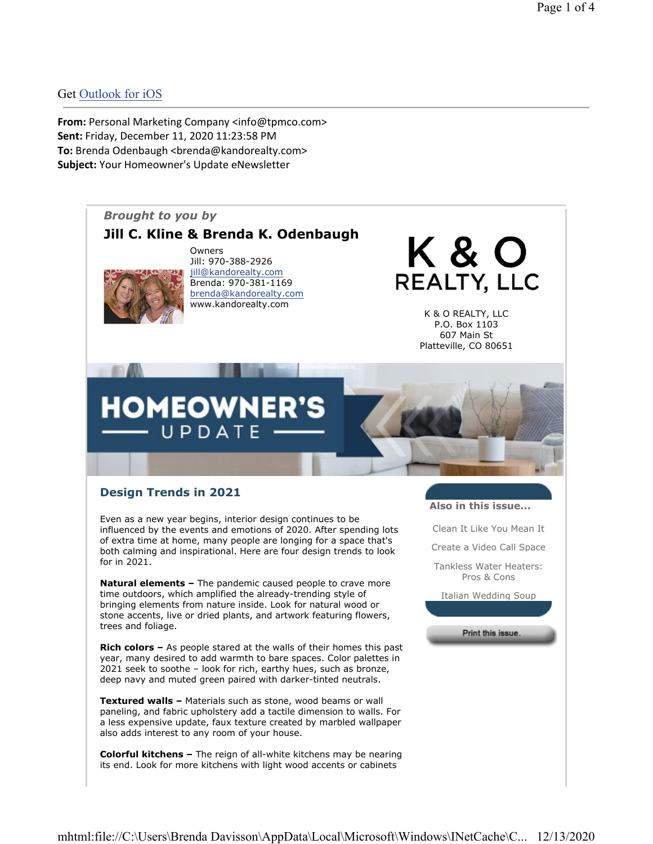## Get Outlook for iOS

From: Personal Marketing Company <info@tpmco.com> Sent: Friday, December 11, 2020 11:23:58 PM To: Brenda Odenbaugh <br />brenda@kandorealty.com> Subject: Your Homeowner's Update eNewsletter



# Design Trends in 2021

Even as a new year begins, interior design continues to be influenced by the events and emotions of 2020. After spending lots of extra time at home, many people are longing for a space that's both calming and inspirational. Here are four design trends to look for in 2021.

Natural elements - The pandemic caused people to crave more time outdoors, which amplified the already-trending style of bringing elements from nature inside. Look for natural wood or stone accents, live or dried plants, and artwork featuring flowers, trees and foliage.

Rich colors – As people stared at the walls of their homes this past year, many desired to add warmth to bare spaces. Color palettes in 2021 seek to soothe – look for rich, earthy hues, such as bronze, deep navy and muted green paired with darker-tinted neutrals.

Textured walls – Materials such as stone, wood beams or wall paneling, and fabric upholstery add a tactile dimension to walls. For a less expensive update, faux texture created by marbled wallpaper also adds interest to any room of your house.

Colorful kitchens - The reign of all-white kitchens may be nearing its end. Look for more kitchens with light wood accents or cabinets

Also in this issue...

Clean It Like You Mean It

Create a Video Call Space

Tankless Water Heaters: Pros & Cons

Italian Wedding Soup

Print this issue.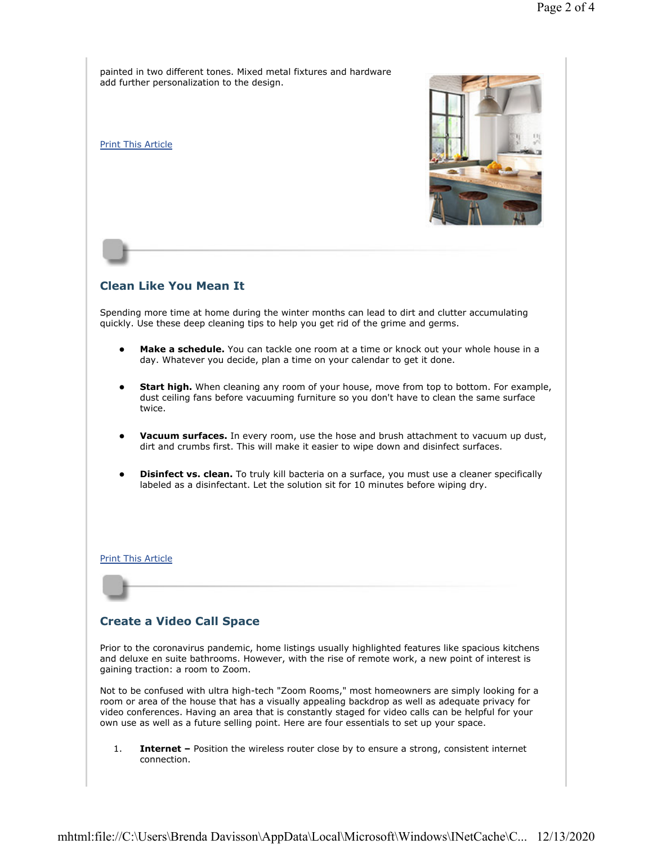painted in two different tones. Mixed metal fixtures and hardware add further personalization to the design.

Print This Article



## Clean Like You Mean It

Spending more time at home during the winter months can lead to dirt and clutter accumulating quickly. Use these deep cleaning tips to help you get rid of the grime and germs.

- Make a schedule. You can tackle one room at a time or knock out your whole house in a day. Whatever you decide, plan a time on your calendar to get it done.
- **Start high.** When cleaning any room of your house, move from top to bottom. For example, dust ceiling fans before vacuuming furniture so you don't have to clean the same surface twice.
- **Vacuum surfaces.** In every room, use the hose and brush attachment to vacuum up dust, dirt and crumbs first. This will make it easier to wipe down and disinfect surfaces.
- **Disinfect vs. clean.** To truly kill bacteria on a surface, you must use a cleaner specifically labeled as a disinfectant. Let the solution sit for 10 minutes before wiping dry.

Print This Article

## Create a Video Call Space

Prior to the coronavirus pandemic, home listings usually highlighted features like spacious kitchens and deluxe en suite bathrooms. However, with the rise of remote work, a new point of interest is gaining traction: a room to Zoom.

Not to be confused with ultra high-tech "Zoom Rooms," most homeowners are simply looking for a room or area of the house that has a visually appealing backdrop as well as adequate privacy for video conferences. Having an area that is constantly staged for video calls can be helpful for your own use as well as a future selling point. Here are four essentials to set up your space.

1. **Internet –** Position the wireless router close by to ensure a strong, consistent internet connection.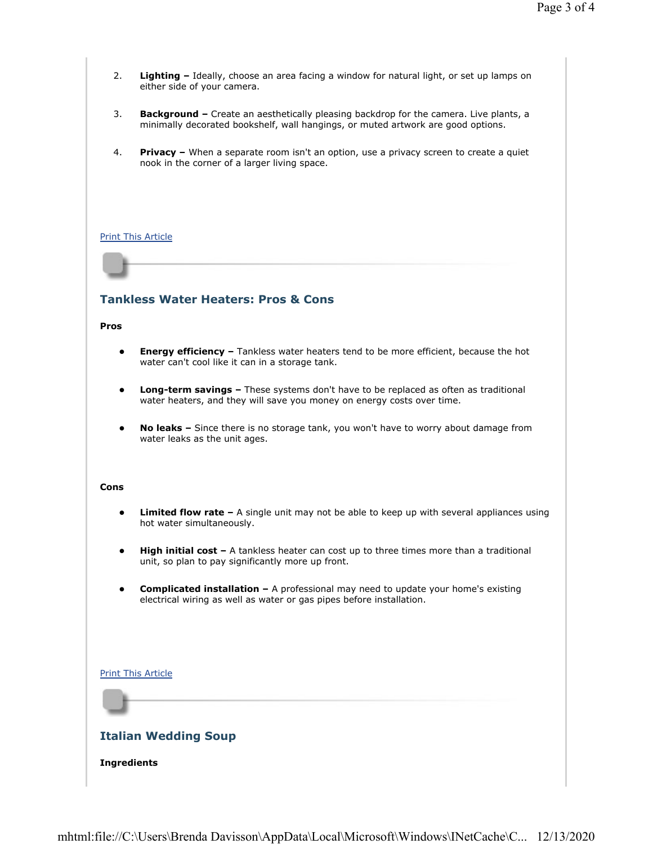- 2. Lighting Ideally, choose an area facing a window for natural light, or set up lamps on either side of your camera.
- 3. Background Create an aesthetically pleasing backdrop for the camera. Live plants, a minimally decorated bookshelf, wall hangings, or muted artwork are good options.
- 4. Privacy When a separate room isn't an option, use a privacy screen to create a quiet nook in the corner of a larger living space.

### Print This Article

## Tankless Water Heaters: Pros & Cons

#### Pros

- **Energy efficiency –** Tankless water heaters tend to be more efficient, because the hot water can't cool like it can in a storage tank.
- **•** Long-term savings These systems don't have to be replaced as often as traditional water heaters, and they will save you money on energy costs over time.
- No leaks Since there is no storage tank, you won't have to worry about damage from water leaks as the unit ages.

### Cons

- **Limited flow rate –** A single unit may not be able to keep up with several appliances using hot water simultaneously.
- **High initial cost** A tankless heater can cost up to three times more than a traditional unit, so plan to pay significantly more up front.
- **Complicated installation –** A professional may need to update your home's existing electrical wiring as well as water or gas pipes before installation.

### Print This Article

## Italian Wedding Soup

### Ingredients